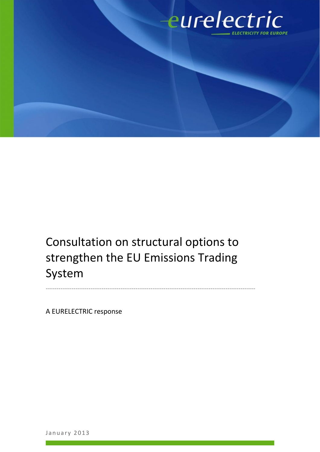

Consultation on structural options to strengthen the EU Emissions Trading System

--------------------------------------------------------------------------------------------------

A EURELECTRIC response

January 2013<br>January 2013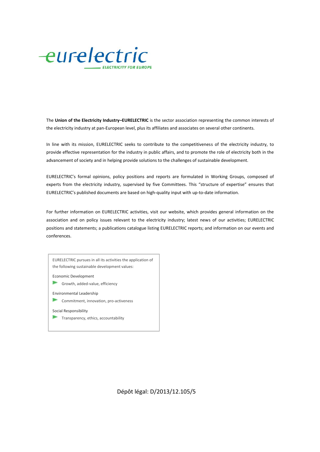

The **Union of the Electricity Industry–EURELECTRIC** is the sector association representing the common interests of the electricity industry at pan-European level, plus its affiliates and associates on several other continents.

In line with its mission, EURELECTRIC seeks to contribute to the competitiveness of the electricity industry, to provide effective representation for the industry in public affairs, and to promote the role of electricity both in the advancement of society and in helping provide solutions to the challenges of sustainable development.

EURELECTRIC's formal opinions, policy positions and reports are formulated in Working Groups, composed of experts from the electricity industry, supervised by five Committees. This "structure of expertise" ensures that EURELECTRIC's published documents are based on high-quality input with up-to-date information.

For further information on EURELECTRIC activities, visit our website, which provides general information on the association and on policy issues relevant to the electricity industry; latest news of our activities; EURELECTRIC positions and statements; a publications catalogue listing EURELECTRIC reports; and information on our events and conferences.

EURELECTRIC pursues in all its activities the application of the following sustainable development values: Economic Development Growth, added-value, efficiency

Environmental Leadership

Y Commitment, innovation, pro-activeness

Social Responsibility

Transparency, ethics, accountability

Dépôt légal: D/2013/12.105/5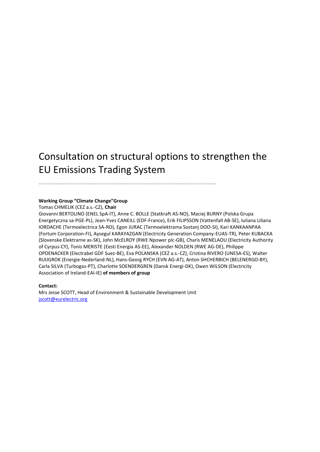# Consultation on structural options to strengthen the EU Emissions Trading System

-----------------------------------------------------------------------------------

#### **Working Group "Climate Change"Group**

Tomas CHMELIK (CEZ a.s.-CZ), **Chair**

Giovanni BERTOLINO (ENEL SpA-IT), Anne C. BOLLE (Statkraft AS-NO), Maciej BURNY (Polska Grupa Energetyczna sa-PGE-PL), Jean-Yves CANEILL (EDF-France), Erik FILIPSSON (Vattenfall AB-SE), Iuliana Liliana IORDACHE (Termoelectrica SA-RO), Egon JURAC (Termoelektrama Sostanj DOO-SI), Kari KANKAANPAA (Fortum Corporation-FI), Aysegul KARAYAZGAN (Electricity Generation Company-EUAS-TR), Peter KUBACKA (Slovenske Elektrarne as-SK), John McELROY (RWE Npower plc-GB), Charis MENELAOU (Electricity Authority of Cyrpus-CY), Tonis MERISTE (Eesti Energia AS-EE), Alexander NOLDEN (RWE AG-DE), Philippe OPDENACKER (Electrabel GDF Suez-BE), Eva POLANSKA (CEZ a.s.-CZ), Cristina RIVERO (UNESA-ES), Walter RUIJGROK (Energie-Nederland-NL), Hans-Georg RYCH (EVN AG-AT), Anton SHCHERBICH (BELENERGO-BY), Carla SILVA (Turbogas-PT), Charlotte SOENDERGREN (Dansk Energi-DK), Owen WILSON (Electricity Association of Ireland-EAI-IE) **of members of group**

**Contact:**

Mrs Jesse SCOTT, Head of Environment & Sustainable Development Unit jscott@eurelectric.org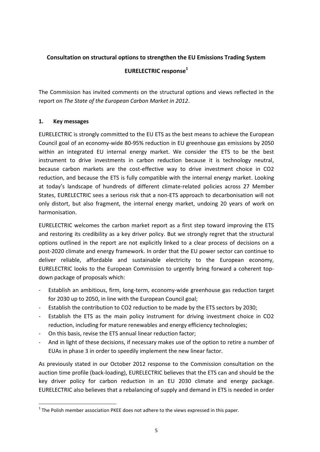# **Consultation on structural options to strengthen the EU Emissions Trading System**

### **EURELECTRIC response<sup>1</sup>**

The Commission has invited comments on the structural options and views reflected in the report on *The State of the European Carbon Market in 2012*.

#### **1. Key messages**

EURELECTRIC is strongly committed to the EU ETS as the best means to achieve the European Council goal of an economy-wide 80-95% reduction in EU greenhouse gas emissions by 2050 within an integrated EU internal energy market. We consider the ETS to be the best instrument to drive investments in carbon reduction because it is technology neutral, because carbon markets are the cost-effective way to drive investment choice in CO2 reduction, and because the ETS is fully compatible with the internal energy market. Looking at today's landscape of hundreds of different climate-related policies across 27 Member States, EURELECTRIC sees a serious risk that a non-ETS approach to decarbonisation will not only distort, but also fragment, the internal energy market, undoing 20 years of work on harmonisation.

EURELECTRIC welcomes the carbon market report as a first step toward improving the ETS and restoring its credibility as a key driver policy. But we strongly regret that the structural options outlined in the report are not explicitly linked to a clear process of decisions on a post-2020 climate and energy framework. In order that the EU power sector can continue to deliver reliable, affordable and sustainable electricity to the European economy, EURELECTRIC looks to the European Commission to urgently bring forward a coherent top down package of proposals which:

- Establish an ambitious, firm, long-term, economy-wide greenhouse gas reduction target for 2030 up to 2050, in line with the European Council goal;
- Establish the contribution to CO2 reduction to be made by the ETS sectors by 2030;
- Establish the ETS as the main policy instrument for driving investment choice in CO2 reduction, including for mature renewables and energy efficiency technologies;
- On this basis, revise the ETS annual linear reduction factor;
- And in light of these decisions, if necessary makes use of the option to retire a number of EUAs in phase 3 in order to speedily implement the new linear factor.

As previously stated in our October 2012 response to the Commission consultation on the auction time profile (back-loading), EURELECTRIC believes that the ETS can and should be the key driver policy for carbon reduction in an EU 2030 climate and energy package. EURELECTRIC also believes that a rebalancing of supply and demand in ETS is needed in order

 $1$  The Polish member association PKEE does not adhere to the views expressed in this paper.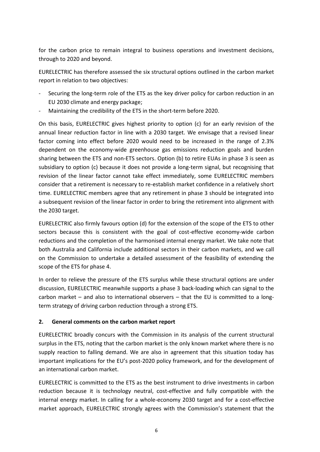for the carbon price to remain integral to business operations and investment decisions, through to 2020 and beyond.

EURELECTRIC has therefore assessed the six structural options outlined in the carbon market report in relation to two objectives:

- Securing the long-term role of the ETS as the key driver policy for carbon reduction in an EU 2030 climate and energy package;
- Maintaining the credibility of the ETS in the short-term before 2020.

On this basis, EURELECTRIC gives highest priority to option (c) for an early revision of the annual linear reduction factor in line with a 2030 target. We envisage that a revised linear factor coming into effect before 2020 would need to be increased in the range of 2.3% dependent on the economy-wide greenhouse gas emissions reduction goals and burden sharing between the ETS and non-ETS sectors. Option (b) to retire EUAs in phase 3 is seen as subsidiary to option (c) because it does not provide a long-term signal, but recognising that revision of the linear factor cannot take effect immediately, some EURELECTRIC members consider that a retirement is necessary to re-establish market confidence in a relatively short time. EURELECTRIC members agree that any retirement in phase 3 should be integrated into a subsequent revision of the linear factor in order to bring the retirement into alignment with the 2030 target.

EURELECTRIC also firmly favours option (d) for the extension of the scope of the ETS to other sectors because this is consistent with the goal of cost-effective economy-wide carbon reductions and the completion of the harmonised internal energy market. We take note that both Australia and California include additional sectors in their carbon markets, and we call on the Commission to undertake a detailed assessment of the feasibility of extending the scope of the ETS for phase 4.

In order to relieve the pressure of the ETS surplus while these structural options are under discussion, EURELECTRIC meanwhile supports a phase 3 back-loading which can signal to the carbon market – and also to international observers – that the EU is committed to a long term strategy of driving carbon reduction through a strong ETS.

## **2. General comments on the carbon market report**

EURELECTRIC broadly concurs with the Commission in its analysis of the current structural surplus in the ETS, noting that the carbon market is the only known market where there is no supply reaction to falling demand. We are also in agreement that this situation today has important implications for the EU's post-2020 policy framework, and for the development of an international carbon market.

EURELECTRIC is committed to the ETS as the best instrument to drive investments in carbon reduction because it is technology neutral, cost-effective and fully compatible with the internal energy market. In calling for a whole-economy 2030 target and for a cost-effective market approach, EURELECTRIC strongly agrees with the Commission's statement that the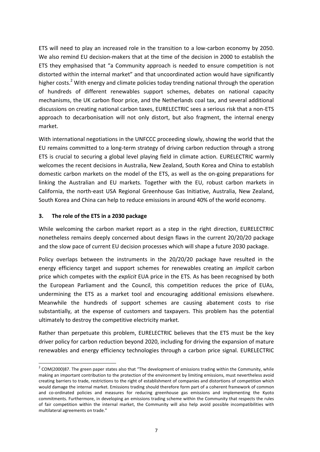ETS will need to play an increased role in the transition to a low-carbon economy by 2050. We also remind EU decision-makers that at the time of the decision in 2000 to establish the ETS they emphasised that "a Community approach is needed to ensure competition is not distorted within the internal market" and that uncoordinated action would have significantly higher costs.<sup>2</sup> With energy and climate policies today trending national through the operation of hundreds of different renewables support schemes, debates on national capacity mechanisms, the UK carbon floor price, and the Netherlands coal tax, and several additional discussions on creating national carbon taxes, EURELECTRIC sees a serious risk that a non-ETS approach to decarbonisation will not only distort, but also fragment, the internal energy market.

With international negotiations in the UNFCCC proceeding slowly, showing the world that the EU remains committed to a long-term strategy of driving carbon reduction through a strong ETS is crucial to securing a global level playing field in climate action. EURELECTRIC warmly welcomes the recent decisions in Australia, New Zealand, South Korea and China to establish domestic carbon markets on the model of the ETS, as well as the on-going preparations for linking the Australian and EU markets. Together with the EU, robust carbon markets in California, the north-east USA Regional Greenhouse Gas Initiative, Australia, New Zealand, South Korea and China can help to reduce emissions in around 40% of the world economy.

#### **3. The role of the ETS in a 2030 package**

While welcoming the carbon market report as a step in the right direction, EURELECTRIC nonetheless remains deeply concerned about design flaws in the current 20/20/20 package and the slow pace of current EU decision processes which will shape a future 2030 package.

Policy overlaps between the instruments in the 20/20/20 package have resulted in the energy efficiency target and support schemes for renewables creating an *implicit* carbon price which competes with the *explicit* EUA price in the ETS. As has been recognised by both the European Parliament and the Council, this competition reduces the price of EUAs, undermining the ETS as a market tool and encouraging additional emissions elsewhere. Meanwhile the hundreds of support schemes are causing abatement costs to rise substantially, at the expense of customers and taxpayers. This problem has the potential ultimately to destroy the competitive electricity market.

Rather than perpetuate this problem, EURELECTRIC believes that the ETS must be the key driver policy for carbon reduction beyond 2020, including for driving the expansion of mature renewables and energy efficiency technologies through a carbon price signal. EURELECTRIC

 $2$  COM(2000)87. The green paper states also that "The development of emissions trading within the Community, while making an important contribution to the protection of the environment by limiting emissions, must nevertheless avoid creating barriers to trade, restrictions to the right of establishment of companies and distortions of competition which would damage the internal market. Emissions trading should therefore form part of a coherent framework of common and co-ordinated policies and measures for reducing greenhouse gas emissions and implementing the Kyoto commitments. Furthermore, in developing an emissions trading scheme within the Community that respects the rules of fair competition within the internal market, the Community will also help avoid possible incompatibilities with multilateral agreements on trade."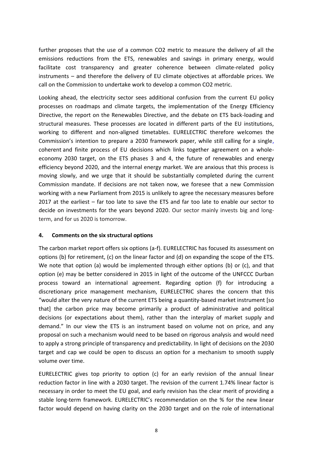further proposes that the use of a common CO2 metric to measure the delivery of all the emissions reductions from the ETS, renewables and savings in primary energy, would facilitate cost transparency and greater coherence between climate-related policy instruments – and therefore the delivery of EU climate objectives at affordable prices. We call on the Commission to undertake work to develop a common CO2 metric.

Looking ahead, the electricity sector sees additional confusion from the current EU policy processes on roadmaps and climate targets, the implementation of the Energy Efficiency Directive, the report on the Renewables Directive, and the debate on ETS back-loading and structural measures. These processes are located in different parts of the EU institutions, working to different and non-aligned timetables. EURELECTRIC therefore welcomes the Commission's intention to prepare a 2030 framework paper, while still calling for a single, coherent and finite process of EU decisions which links together agreement on a whole economy 2030 target, on the ETS phases 3 and 4, the future of renewables and energy efficiency beyond 2020, and the internal energy market. We are anxious that this process is moving slowly, and we urge that it should be substantially completed during the current Commission mandate. If decisions are not taken now, we foresee that a new Commission working with a new Parliament from 2015 is unlikely to agree the necessary measures before 2017 at the earliest – far too late to save the ETS and far too late to enable our sector to decide on investments for the years beyond 2020. Our sector mainly invests big and long term, and for us 2020 is tomorrow.

#### **4. Comments on the six structural options**

The carbon market report offers six options (a-f). EURELECTRIC has focused its assessment on options (b) for retirement, (c) on the linear factor and (d) on expanding the scope of the ETS. We note that option (a) would be implemented through either options (b) or (c), and that option (e) may be better considered in 2015 in light of the outcome of the UNFCCC Durban process toward an international agreement. Regarding option (f) for introducing a discretionary price management mechanism, EURELECTRIC shares the concern that this "would alter the very nature of the current ETS being a quantity-based market instrument [so that] the carbon price may become primarily a product of administrative and political decisions (or expectations about them), rather than the interplay of market supply and demand." In our view the ETS is an instrument based on volume not on price, and any proposal on such a mechanism would need to be based on rigorous analysis and would need to apply a strong principle of transparency and predictability. In light of decisions on the 2030 target and cap we could be open to discuss an option for a mechanism to smooth supply volume over time.

EURELECTRIC gives top priority to option (c) for an early revision of the annual linear reduction factor in line with a 2030 target. The revision of the current 1.74% linear factor is necessary in order to meet the EU goal, and early revision has the clear merit of providing a stable long-term framework. EURELECTRIC's recommendation on the % for the new linear factor would depend on having clarity on the 2030 target and on the role of international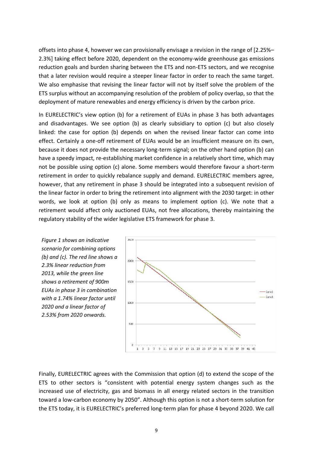offsets into phase 4, however we can provisionally envisage a revision in the range of [2.25%– 2.3%] taking effect before 2020, dependent on the economy-wide greenhouse gas emissions reduction goals and burden sharing between the ETS and non-ETS sectors, and we recognise that a later revision would require a steeper linear factor in order to reach the same target. We also emphasise that revising the linear factor will not by itself solve the problem of the ETS surplus without an accompanying resolution of the problem of policy overlap, so that the deployment of mature renewables and energy efficiency is driven by the carbon price.

In EURELECTRIC's view option (b) for a retirement of EUAs in phase 3 has both advantages and disadvantages. We see option (b) as clearly subsidiary to option (c) but also closely linked: the case for option (b) depends on when the revised linear factor can come into effect. Certainly a one-off retirement of EUAs would be an insufficient measure on its own, because it does not provide the necessary long-term signal; on the other hand option (b) can have a speedy impact, re-establishing market confidence in a relatively short time, which may not be possible using option (c) alone. Some members would therefore favour a short-term retirement in order to quickly rebalance supply and demand. EURELECTRIC members agree, however, that any retirement in phase 3 should be integrated into a subsequent revision of the linear factor in order to bring the retirement into alignment with the 2030 target: in other words, we look at option (b) only as means to implement option (c). We note that a retirement would affect only auctioned EUAs, not free allocations, thereby maintaining the regulatory stability of the wider legislative ETS framework for phase 3.

*Figure 1 shows an indicative scenario for combining options (b) and (c). The red line shows a 2.3% linear reduction from 2013, while the green line shows a retirement of 900m EUAs in phase 3 in combination with a 1.74% linear factor until 2020 and a linear factor of 2.53% from 2020 onwards.*



Finally, EURELECTRIC agrees with the Commission that option (d) to extend the scope of the ETS to other sectors is "consistent with potential energy system changes such as the increased use of electricity, gas and biomass in all energy related sectors in the transition toward a low-carbon economy by 2050". Although this option is not a short-term solution for the ETS today, it is EURELECTRIC's preferred long-term plan for phase 4 beyond 2020. We call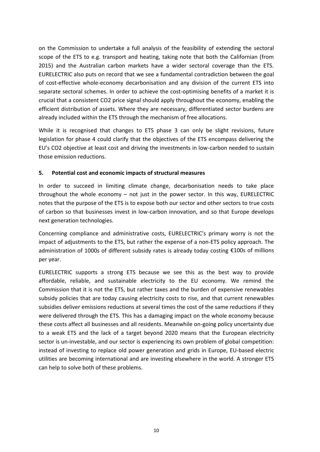on the Commission to undertake a full analysis of the feasibility of extending the sectoral scope of the ETS to e.g. transport and heating, taking note that both the Californian (from 2015) and the Australian carbon markets have a wider sectoral coverage than the ETS. EURELECTRIC also puts on record that we see a fundamental contradiction between the goal of cost-effective whole-economy decarbonisation and any division of the current ETS into separate sectoral schemes. In order to achieve the cost-optimising benefits of a market it is crucial that a consistent CO2 price signal should apply throughout the economy, enabling the efficient distribution of assets. Where they are necessary, differentiated sector burdens are already included within the ETS through the mechanism of free allocations.

While it is recognised that changes to ETS phase 3 can only be slight revisions, future legislation for phase 4 could clarify that the objectives of the ETS encompass delivering the EU's CO2 objective at least cost and driving the investments in low-carbon needed to sustain those emission reductions.

#### **5. Potential cost and economic impacts of structural measures**

In order to succeed in limiting climate change, decarbonisation needs to take place throughout the whole economy – not just in the power sector. In this way, EURELECTRIC notes that the purpose of the ETS is to expose both our sector and other sectors to true costs of carbon so that businesses invest in low-carbon innovation, and so that Europe develops next generation technologies.

Concerning compliance and administrative costs, EURELECTRIC's primary worry is not the impact of adjustments to the ETS, but rather the expense of a non-ETS policy approach. The administration of 1000s of different subsidy rates is already today costing €100s of millions per year.

EURELECTRIC supports a strong ETS because we see this as the best way to provide affordable, reliable, and sustainable electricity to the EU economy. We remind the Commission that it is not the ETS, but rather taxes and the burden of expensive renewables subsidy policies that are today causing electricity costs to rise, and that current renewables subsidies deliver emissions reductions at several times the cost of the same reductions if they were delivered through the ETS. This has a damaging impact on the whole economy because these costs affect all businesses and all residents. Meanwhile on-going policy uncertainty due to a weak ETS and the lack of a target beyond 2020 means that the European electricity sector is un-investable, and our sector is experiencing its own problem of global competition: instead of investing to replace old power generation and grids in Europe, EU-based electric utilities are becoming international and are investing elsewhere in the world. A stronger ETS can help to solve both of these problems.